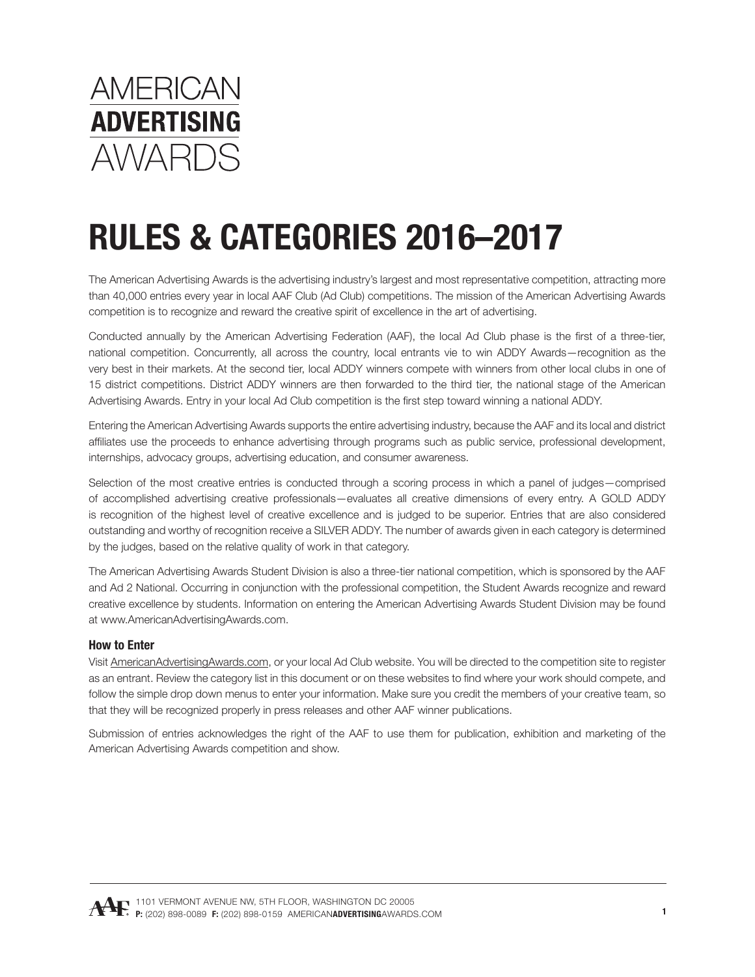

The American Advertising Awards is the advertising industry's largest and most representative competition, attracting more than 40,000 entries every year in local AAF Club (Ad Club) competitions. The mission of the American Advertising Awards competition is to recognize and reward the creative spirit of excellence in the art of advertising.

Conducted annually by the American Advertising Federation (AAF), the local Ad Club phase is the first of a three-tier, national competition. Concurrently, all across the country, local entrants vie to win ADDY Awards—recognition as the very best in their markets. At the second tier, local ADDY winners compete with winners from other local clubs in one of 15 district competitions. District ADDY winners are then forwarded to the third tier, the national stage of the American Advertising Awards. Entry in your local Ad Club competition is the first step toward winning a national ADDY.

Entering the American Advertising Awards supports the entire advertising industry, because the AAF and its local and district affiliates use the proceeds to enhance advertising through programs such as public service, professional development, internships, advocacy groups, advertising education, and consumer awareness.

Selection of the most creative entries is conducted through a scoring process in which a panel of judges—comprised of accomplished advertising creative professionals—evaluates all creative dimensions of every entry. A GOLD ADDY is recognition of the highest level of creative excellence and is judged to be superior. Entries that are also considered outstanding and worthy of recognition receive a SILVER ADDY. The number of awards given in each category is determined by the judges, based on the relative quality of work in that category.

The American Advertising Awards Student Division is also a three-tier national competition, which is sponsored by the AAF and Ad 2 National. Occurring in conjunction with the professional competition, the Student Awards recognize and reward creative excellence by students. Information on entering the American Advertising Awards Student Division may be found at www.AmericanAdvertisingAwards.com.

#### **How to Enter**

Visit [AmericanAdvertisingAwards.com,](http://AmericanAdvertisingAwards.com) or your local Ad Club website. You will be directed to the competition site to register as an entrant. Review the category list in this document or on these websites to find where your work should compete, and follow the simple drop down menus to enter your information. Make sure you credit the members of your creative team, so that they will be recognized properly in press releases and other AAF winner publications.

Submission of entries acknowledges the right of the AAF to use them for publication, exhibition and marketing of the American Advertising Awards competition and show.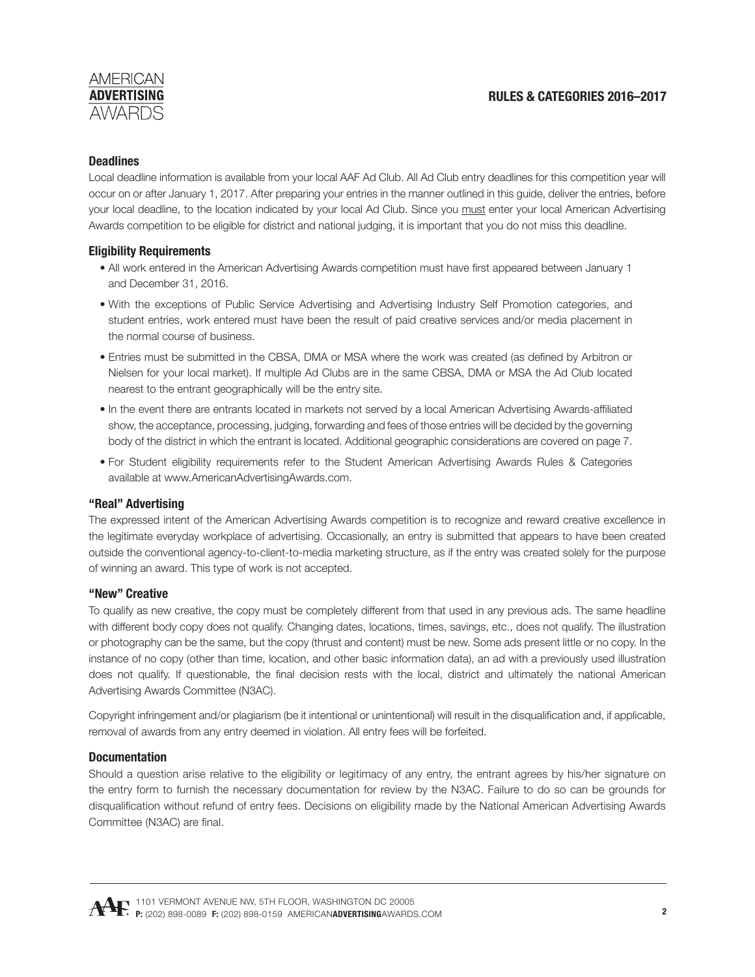**RULES & CATEGORIES 2016–2017**

# **Deadlines**

Local deadline information is available from your local AAF Ad Club. All Ad Club entry deadlines for this competition year will occur on or after January 1, 2017. After preparing your entries in the manner outlined in this guide, deliver the entries, before your local deadline, to the location indicated by your local Ad Club. Since you must enter your local American Advertising Awards competition to be eligible for district and national judging, it is important that you do not miss this deadline.

# **Eligibility Requirements**

- All work entered in the American Advertising Awards competition must have first appeared between January 1 and December 31, 2016.
- With the exceptions of Public Service Advertising and Advertising Industry Self Promotion categories, and student entries, work entered must have been the result of paid creative services and/or media placement in the normal course of business.
- Entries must be submitted in the CBSA, DMA or MSA where the work was created (as defined by Arbitron or Nielsen for your local market). If multiple Ad Clubs are in the same CBSA, DMA or MSA the Ad Club located nearest to the entrant geographically will be the entry site.
- In the event there are entrants located in markets not served by a local American Advertising Awards-affiliated show, the acceptance, processing, judging, forwarding and fees of those entries will be decided by the governing body of the district in which the entrant is located. Additional geographic considerations are covered on page 7.
- For Student eligibility requirements refer to the Student American Advertising Awards Rules & Categories available at www.AmericanAdvertisingAwards.com.

#### **"Real" Advertising**

The expressed intent of the American Advertising Awards competition is to recognize and reward creative excellence in the legitimate everyday workplace of advertising. Occasionally, an entry is submitted that appears to have been created outside the conventional agency-to-client-to-media marketing structure, as if the entry was created solely for the purpose of winning an award. This type of work is not accepted.

#### **"New" Creative**

To qualify as new creative, the copy must be completely different from that used in any previous ads. The same headline with different body copy does not qualify. Changing dates, locations, times, savings, etc., does not qualify. The illustration or photography can be the same, but the copy (thrust and content) must be new. Some ads present little or no copy. In the instance of no copy (other than time, location, and other basic information data), an ad with a previously used illustration does not qualify. If questionable, the final decision rests with the local, district and ultimately the national American Advertising Awards Committee (N3AC).

Copyright infringement and/or plagiarism (be it intentional or unintentional) will result in the disqualification and, if applicable, removal of awards from any entry deemed in violation. All entry fees will be forfeited.

#### **Documentation**

Should a question arise relative to the eligibility or legitimacy of any entry, the entrant agrees by his/her signature on the entry form to furnish the necessary documentation for review by the N3AC. Failure to do so can be grounds for disqualification without refund of entry fees. Decisions on eligibility made by the National American Advertising Awards Committee (N3AC) are final.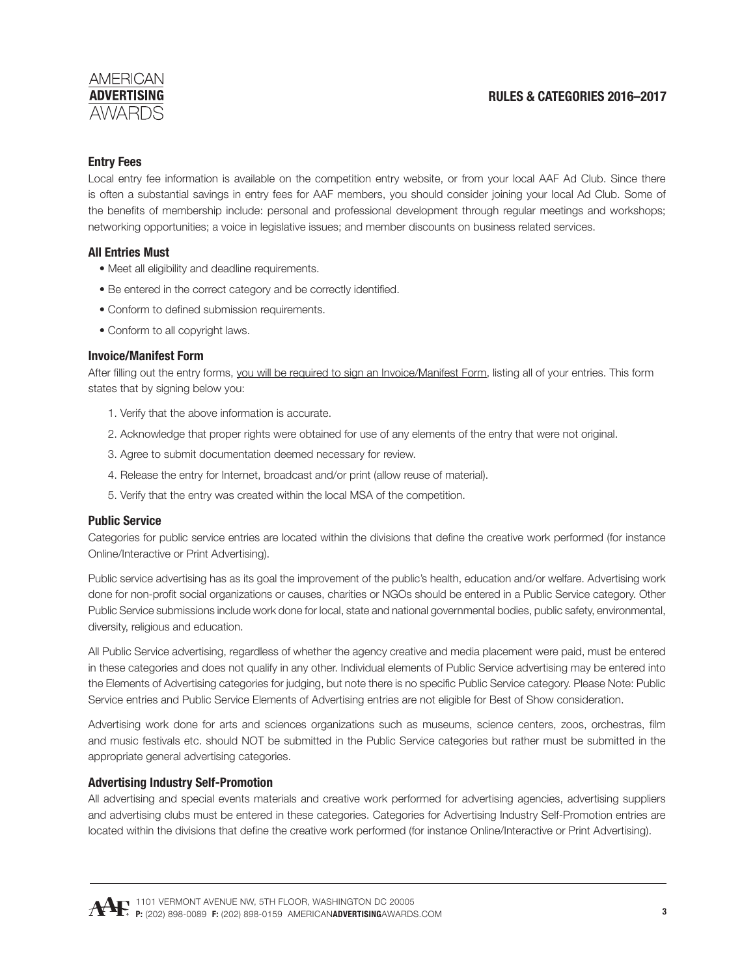# **RULES & CATEGORIES 2016–2017**

### **Entry Fees**

Local entry fee information is available on the competition entry website, or from your local AAF Ad Club. Since there is often a substantial savings in entry fees for AAF members, you should consider joining your local Ad Club. Some of the benefits of membership include: personal and professional development through regular meetings and workshops; networking opportunities; a voice in legislative issues; and member discounts on business related services.

### **All Entries Must**

- Meet all eligibility and deadline requirements.
- Be entered in the correct category and be correctly identified.
- Conform to defined submission requirements.
- Conform to all copyright laws.

#### **Invoice/Manifest Form**

After filling out the entry forms, you will be required to sign an Invoice/Manifest Form, listing all of your entries. This form states that by signing below you:

- 1. Verify that the above information is accurate.
- 2. Acknowledge that proper rights were obtained for use of any elements of the entry that were not original.
- 3. Agree to submit documentation deemed necessary for review.
- 4. Release the entry for Internet, broadcast and/or print (allow reuse of material).
- 5. Verify that the entry was created within the local MSA of the competition.

#### **Public Service**

Categories for public service entries are located within the divisions that define the creative work performed (for instance Online/Interactive or Print Advertising).

Public service advertising has as its goal the improvement of the public's health, education and/or welfare. Advertising work done for non-profit social organizations or causes, charities or NGOs should be entered in a Public Service category. Other Public Service submissions include work done for local, state and national governmental bodies, public safety, environmental, diversity, religious and education.

All Public Service advertising, regardless of whether the agency creative and media placement were paid, must be entered in these categories and does not qualify in any other. Individual elements of Public Service advertising may be entered into the Elements of Advertising categories for judging, but note there is no specific Public Service category. Please Note: Public Service entries and Public Service Elements of Advertising entries are not eligible for Best of Show consideration.

Advertising work done for arts and sciences organizations such as museums, science centers, zoos, orchestras, film and music festivals etc. should NOT be submitted in the Public Service categories but rather must be submitted in the appropriate general advertising categories.

#### **Advertising Industry Self-Promotion**

All advertising and special events materials and creative work performed for advertising agencies, advertising suppliers and advertising clubs must be entered in these categories. Categories for Advertising Industry Self-Promotion entries are located within the divisions that define the creative work performed (for instance Online/Interactive or Print Advertising).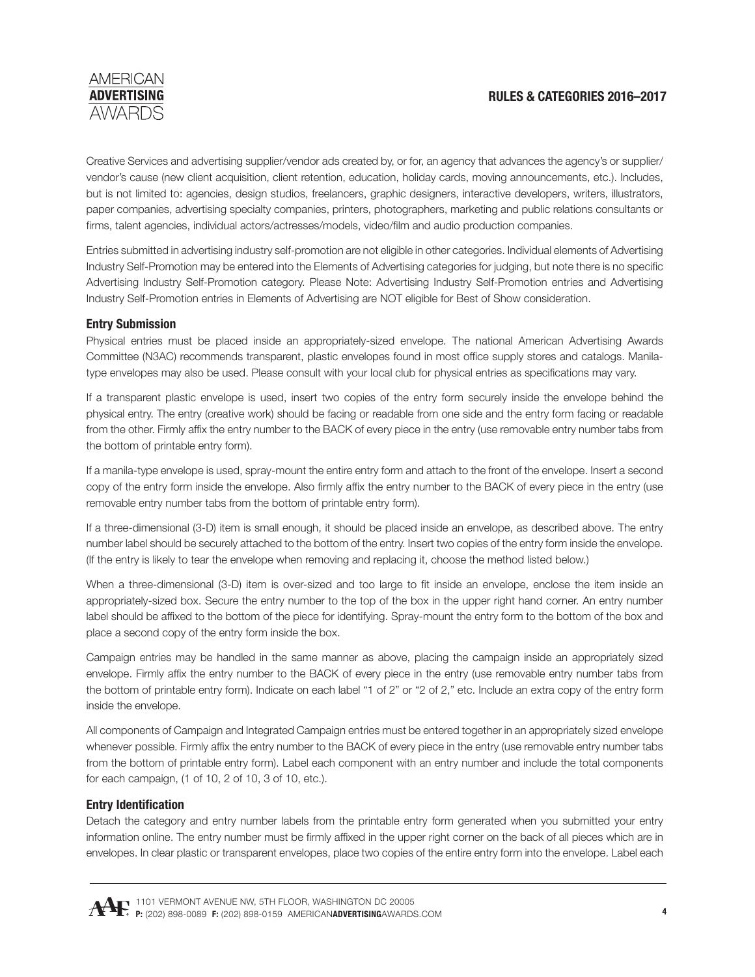

Creative Services and advertising supplier/vendor ads created by, or for, an agency that advances the agency's or supplier/ vendor's cause (new client acquisition, client retention, education, holiday cards, moving announcements, etc.). Includes, but is not limited to: agencies, design studios, freelancers, graphic designers, interactive developers, writers, illustrators, paper companies, advertising specialty companies, printers, photographers, marketing and public relations consultants or firms, talent agencies, individual actors/actresses/models, video/film and audio production companies.

Entries submitted in advertising industry self-promotion are not eligible in other categories. Individual elements of Advertising Industry Self-Promotion may be entered into the Elements of Advertising categories for judging, but note there is no specific Advertising Industry Self-Promotion category. Please Note: Advertising Industry Self-Promotion entries and Advertising Industry Self-Promotion entries in Elements of Advertising are NOT eligible for Best of Show consideration.

#### **Entry Submission**

Physical entries must be placed inside an appropriately-sized envelope. The national American Advertising Awards Committee (N3AC) recommends transparent, plastic envelopes found in most office supply stores and catalogs. Manilatype envelopes may also be used. Please consult with your local club for physical entries as specifications may vary.

If a transparent plastic envelope is used, insert two copies of the entry form securely inside the envelope behind the physical entry. The entry (creative work) should be facing or readable from one side and the entry form facing or readable from the other. Firmly affix the entry number to the BACK of every piece in the entry (use removable entry number tabs from the bottom of printable entry form).

If a manila-type envelope is used, spray-mount the entire entry form and attach to the front of the envelope. Insert a second copy of the entry form inside the envelope. Also firmly affix the entry number to the BACK of every piece in the entry (use removable entry number tabs from the bottom of printable entry form).

If a three-dimensional (3-D) item is small enough, it should be placed inside an envelope, as described above. The entry number label should be securely attached to the bottom of the entry. Insert two copies of the entry form inside the envelope. (If the entry is likely to tear the envelope when removing and replacing it, choose the method listed below.)

When a three-dimensional (3-D) item is over-sized and too large to fit inside an envelope, enclose the item inside an appropriately-sized box. Secure the entry number to the top of the box in the upper right hand corner. An entry number label should be affixed to the bottom of the piece for identifying. Spray-mount the entry form to the bottom of the box and place a second copy of the entry form inside the box.

Campaign entries may be handled in the same manner as above, placing the campaign inside an appropriately sized envelope. Firmly affix the entry number to the BACK of every piece in the entry (use removable entry number tabs from the bottom of printable entry form). Indicate on each label "1 of 2" or "2 of 2," etc. Include an extra copy of the entry form inside the envelope.

All components of Campaign and Integrated Campaign entries must be entered together in an appropriately sized envelope whenever possible. Firmly affix the entry number to the BACK of every piece in the entry (use removable entry number tabs from the bottom of printable entry form). Label each component with an entry number and include the total components for each campaign, (1 of 10, 2 of 10, 3 of 10, etc.).

#### **Entry Identification**

Detach the category and entry number labels from the printable entry form generated when you submitted your entry information online. The entry number must be firmly affixed in the upper right corner on the back of all pieces which are in envelopes. In clear plastic or transparent envelopes, place two copies of the entire entry form into the envelope. Label each

1101 VERMONT AVENUE NW, 5TH FLOOR, WASHINGTON DC 20005 **P:** (202) 898-0089 **F:** (202) 898-0159 AMERICAN**ADVERTISING**[AWARDS.COM](http://www.americanadvertisingawards.com/)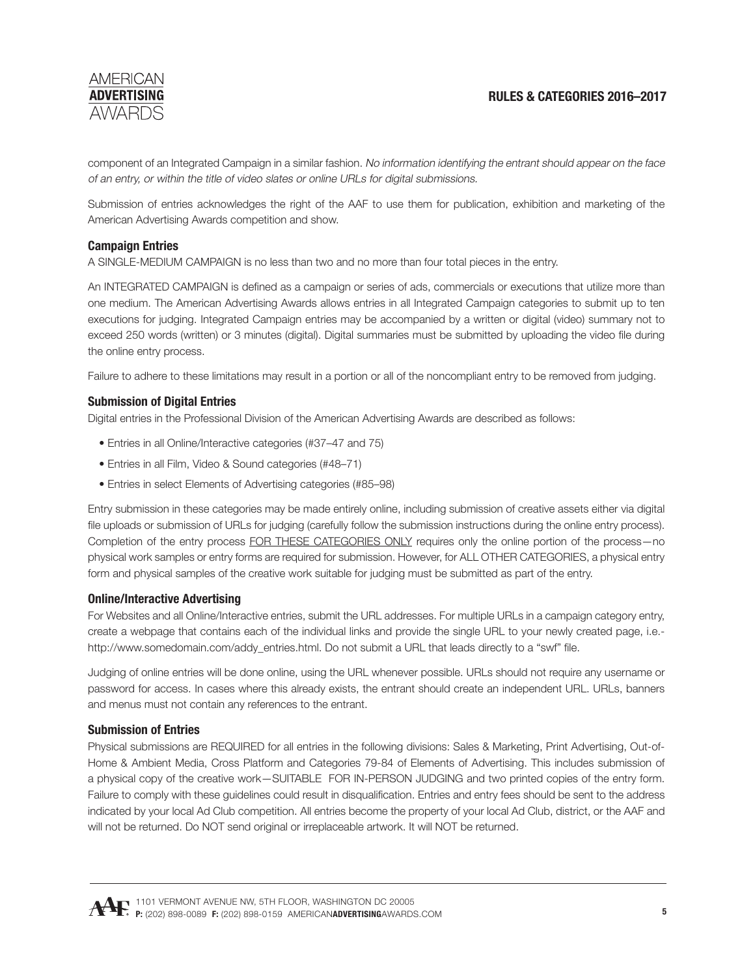

component of an Integrated Campaign in a similar fashion. No information identifying the entrant should appear on the face of an entry, or within the title of video slates or online URLs for digital submissions.

Submission of entries acknowledges the right of the AAF to use them for publication, exhibition and marketing of the American Advertising Awards competition and show.

#### **Campaign Entries**

A SINGLE-MEDIUM CAMPAIGN is no less than two and no more than four total pieces in the entry.

An INTEGRATED CAMPAIGN is defined as a campaign or series of ads, commercials or executions that utilize more than one medium. The American Advertising Awards allows entries in all Integrated Campaign categories to submit up to ten executions for judging. Integrated Campaign entries may be accompanied by a written or digital (video) summary not to exceed 250 words (written) or 3 minutes (digital). Digital summaries must be submitted by uploading the video file during the online entry process.

Failure to adhere to these limitations may result in a portion or all of the noncompliant entry to be removed from judging.

#### **Submission of Digital Entries**

Digital entries in the Professional Division of the American Advertising Awards are described as follows:

- Entries in all Online/Interactive categories (#37–47 and 75)
- Entries in all Film, Video & Sound categories (#48–71)
- Entries in select Elements of Advertising categories (#85–98)

Entry submission in these categories may be made entirely online, including submission of creative assets either via digital file uploads or submission of URLs for judging (carefully follow the submission instructions during the online entry process). Completion of the entry process FOR THESE CATEGORIES ONLY requires only the online portion of the process-no physical work samples or entry forms are required for submission. However, for ALL OTHER CATEGORIES, a physical entry form and physical samples of the creative work suitable for judging must be submitted as part of the entry.

#### **Online/Interactive Advertising**

For Websites and all Online/Interactive entries, submit the URL addresses. For multiple URLs in a campaign category entry, create a webpage that contains each of the individual links and provide the single URL to your newly created page, i.e. http://www.somedomain.com/addy\_entries.html. Do not submit a URL that leads directly to a "swf" file.

Judging of online entries will be done online, using the URL whenever possible. URLs should not require any username or password for access. In cases where this already exists, the entrant should create an independent URL. URLs, banners and menus must not contain any references to the entrant.

#### **Submission of Entries**

Physical submissions are REQUIRED for all entries in the following divisions: Sales & Marketing, Print Advertising, Out-of-Home & Ambient Media, Cross Platform and Categories 79-84 of Elements of Advertising. This includes submission of a physical copy of the creative work—SUITABLE FOR IN-PERSON JUDGING and two printed copies of the entry form. Failure to comply with these guidelines could result in disqualification. Entries and entry fees should be sent to the address indicated by your local Ad Club competition. All entries become the property of your local Ad Club, district, or the AAF and will not be returned. Do NOT send original or irreplaceable artwork. It will NOT be returned.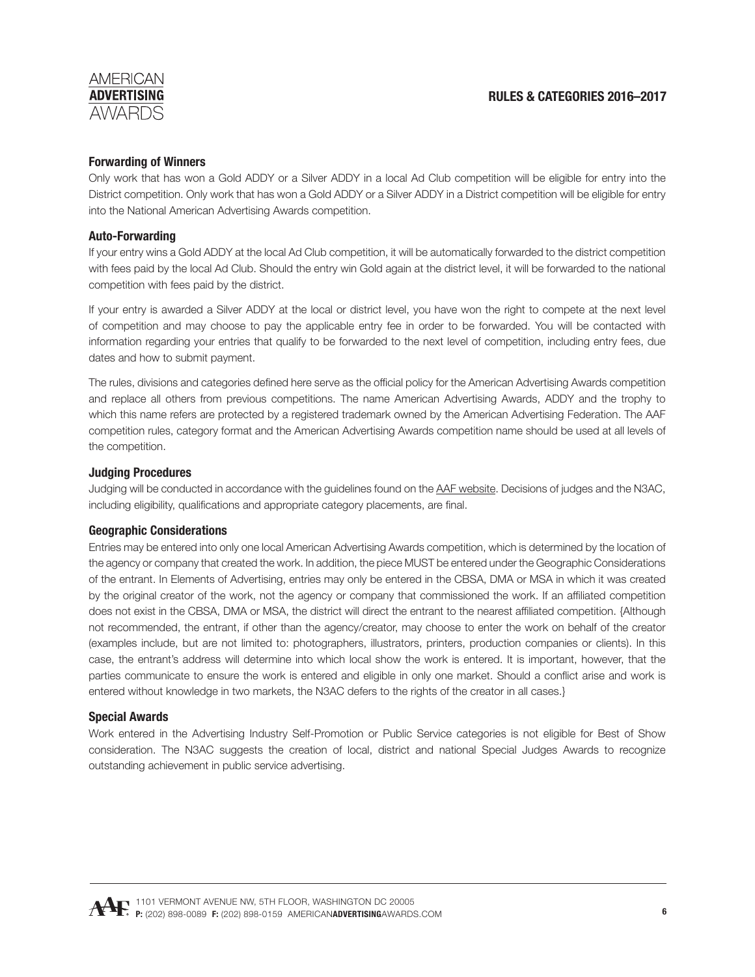# **Forwarding of Winners**

Only work that has won a Gold ADDY or a Silver ADDY in a local Ad Club competition will be eligible for entry into the District competition. Only work that has won a Gold ADDY or a Silver ADDY in a District competition will be eligible for entry into the National American Advertising Awards competition.

#### **Auto-Forwarding**

If your entry wins a Gold ADDY at the local Ad Club competition, it will be automatically forwarded to the district competition with fees paid by the local Ad Club. Should the entry win Gold again at the district level, it will be forwarded to the national competition with fees paid by the district.

If your entry is awarded a Silver ADDY at the local or district level, you have won the right to compete at the next level of competition and may choose to pay the applicable entry fee in order to be forwarded. You will be contacted with information regarding your entries that qualify to be forwarded to the next level of competition, including entry fees, due dates and how to submit payment.

The rules, divisions and categories defined here serve as the official policy for the American Advertising Awards competition and replace all others from previous competitions. The name American Advertising Awards, ADDY and the trophy to which this name refers are protected by a registered trademark owned by the American Advertising Federation. The AAF competition rules, category format and the American Advertising Awards competition name should be used at all levels of the competition.

### **Judging Procedures**

Judging will be conducted in accordance with the guidelines found on the AA[F website](http://www.aaf.org/AAFMemberR/Awards_and_Events/Awards/American_Advertising_Awards/Resources.aspx). Decisions of judges and the N3AC, including eligibility, qualifications and appropriate category placements, are final.

#### **Geographic Considerations**

Entries may be entered into only one local American Advertising Awards competition, which is determined by the location of the agency or company that created the work. In addition, the piece MUST be entered under the Geographic Considerations of the entrant. In Elements of Advertising, entries may only be entered in the CBSA, DMA or MSA in which it was created by the original creator of the work, not the agency or company that commissioned the work. If an affiliated competition does not exist in the CBSA, DMA or MSA, the district will direct the entrant to the nearest affiliated competition. {Although not recommended, the entrant, if other than the agency/creator, may choose to enter the work on behalf of the creator (examples include, but are not limited to: photographers, illustrators, printers, production companies or clients). In this case, the entrant's address will determine into which local show the work is entered. It is important, however, that the parties communicate to ensure the work is entered and eligible in only one market. Should a conflict arise and work is entered without knowledge in two markets, the N3AC defers to the rights of the creator in all cases.}

#### **Special Awards**

Work entered in the Advertising Industry Self-Promotion or Public Service categories is not eligible for Best of Show consideration. The N3AC suggests the creation of local, district and national Special Judges Awards to recognize outstanding achievement in public service advertising.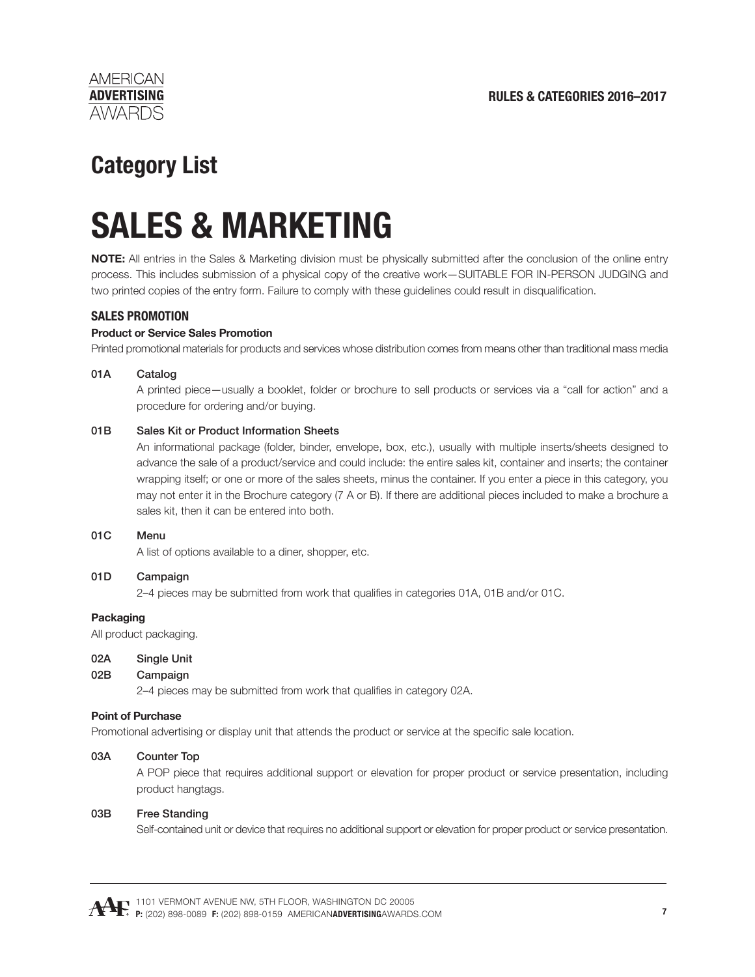

# **Category List**

# **SALES & MARKETING**

**NOTE:** All entries in the Sales & Marketing division must be physically submitted after the conclusion of the online entry process. This includes submission of a physical copy of the creative work—SUITABLE FOR IN-PERSON JUDGING and two printed copies of the entry form. Failure to comply with these guidelines could result in disqualification.

# **SALES PROMOTION**

#### **Product or Service Sales Promotion**

Printed promotional materials for products and services whose distribution comes from means other than traditional mass media

#### 01A Catalog

 A printed piece—usually a booklet, folder or brochure to sell products or services via a "call for action" and a procedure for ordering and/or buying.

#### 01B Sales Kit or Product Information Sheets

 An informational package (folder, binder, envelope, box, etc.), usually with multiple inserts/sheets designed to advance the sale of a product/service and could include: the entire sales kit, container and inserts; the container wrapping itself; or one or more of the sales sheets, minus the container. If you enter a piece in this category, you may not enter it in the Brochure category (7 A or B). If there are additional pieces included to make a brochure a sales kit, then it can be entered into both.

#### 01C Menu

A list of options available to a diner, shopper, etc.

# 01D Campaign

2–4 pieces may be submitted from work that qualifies in categories 01A, 01B and/or 01C.

#### **Packaging**

All product packaging.

#### 02A Single Unit

#### 02B Campaign

2–4 pieces may be submitted from work that qualifies in category 02A.

#### **Point of Purchase**

Promotional advertising or display unit that attends the product or service at the specific sale location.

#### 03A Counter Top

 A POP piece that requires additional support or elevation for proper product or service presentation, including product hangtags.

#### 03B Free Standing

Self-contained unit or device that requires no additional support or elevation for proper product or service presentation.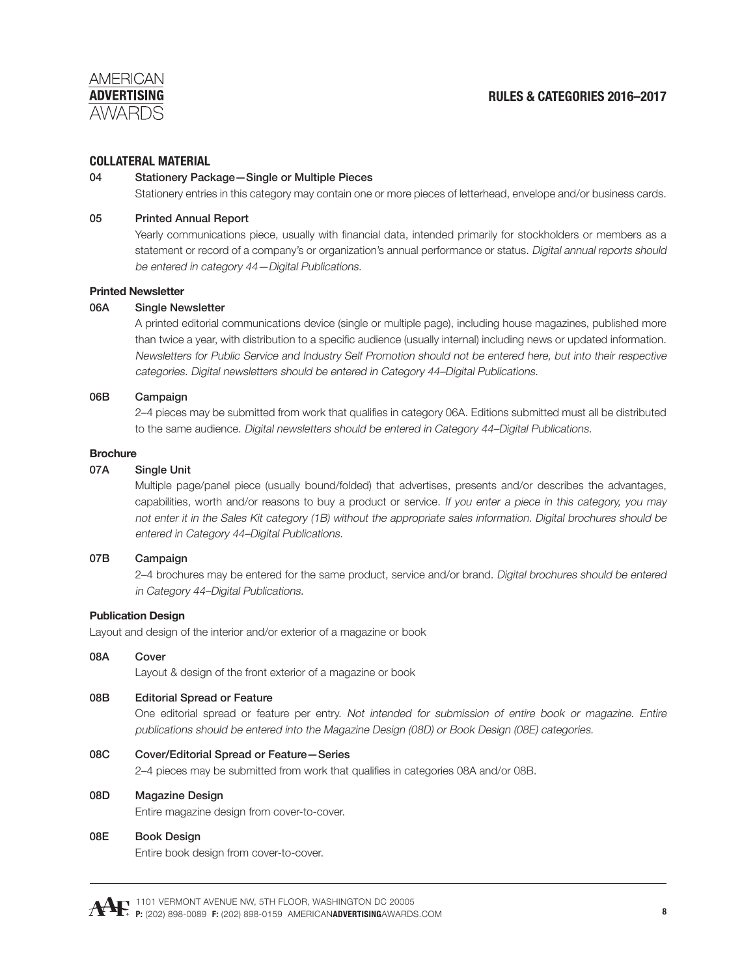

#### **COLLATERAL MATERIAL**

#### 04 Stationery Package—Single or Multiple Pieces

Stationery entries in this category may contain one or more pieces of letterhead, envelope and/or business cards.

#### 05 Printed Annual Report

Yearly communications piece, usually with financial data, intended primarily for stockholders or members as a statement or record of a company's or organization's annual performance or status. Digital annual reports should be entered in category 44—Digital Publications.

#### **Printed Newsletter**

#### 06A Single Newsletter

 A printed editorial communications device (single or multiple page), including house magazines, published more than twice a year, with distribution to a specific audience (usually internal) including news or updated information. Newsletters for Public Service and Industry Self Promotion should not be entered here, but into their respective categories. Digital newsletters should be entered in Category 44–Digital Publications.

#### 06B Campaign

2–4 pieces may be submitted from work that qualifies in category 06A. Editions submitted must all be distributed to the same audience. Digital newsletters should be entered in Category 44–Digital Publications.

#### **Brochure**

#### 07A Single Unit

 Multiple page/panel piece (usually bound/folded) that advertises, presents and/or describes the advantages, capabilities, worth and/or reasons to buy a product or service. If you enter a piece in this category, you may not enter it in the Sales Kit category (1B) without the appropriate sales information. Digital brochures should be entered in Category 44–Digital Publications.

#### 07B Campaign

 2–4 brochures may be entered for the same product, service and/or brand. Digital brochures should be entered in Category 44–Digital Publications.

#### **Publication Design**

Layout and design of the interior and/or exterior of a magazine or book

#### 08A Cover

Layout & design of the front exterior of a magazine or book

#### 08B Editorial Spread or Feature

 One editorial spread or feature per entry. Not intended for submission of entire book or magazine. Entire publications should be entered into the Magazine Design (08D) or Book Design (08E) categories.

#### 08C Cover/Editorial Spread or Feature—Series

2–4 pieces may be submitted from work that qualifies in categories 08A and/or 08B.

#### 08D Magazine Design

Entire magazine design from cover-to-cover.

#### 08E Book Design

Entire book design from cover-to-cover.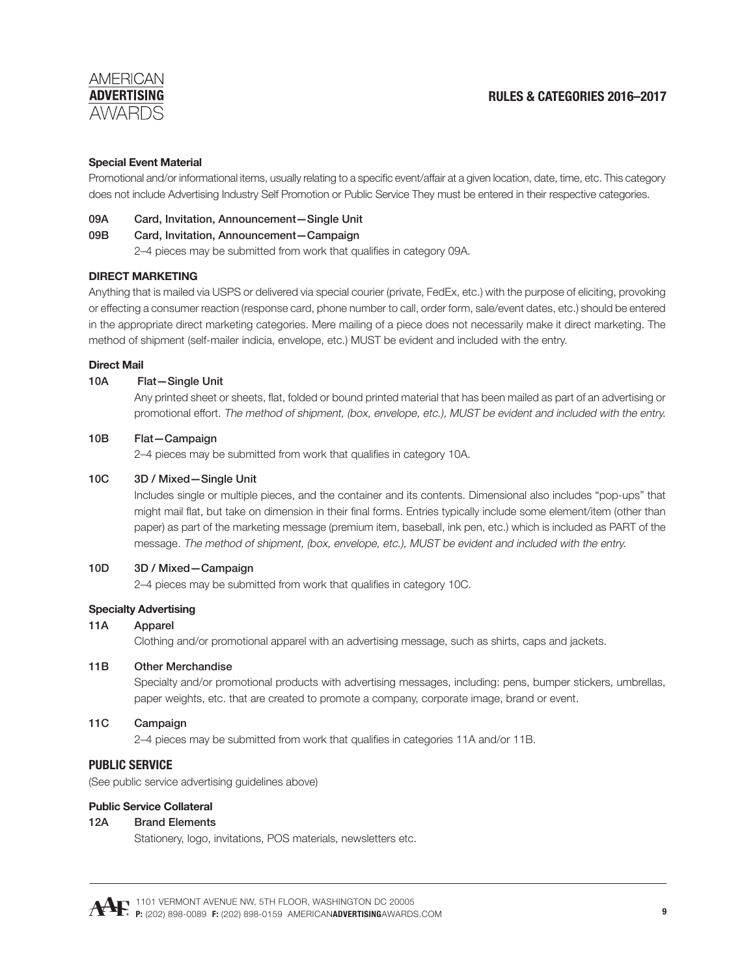# **RULES & CATEGORIES 2016–2017**

#### **Special Event Material**

Promotional and/or informational items, usually relating to a specific event/affair at a given location, date, time, etc. This category does not include Advertising Industry Self Promotion or Public Service They must be entered in their respective categories.

#### 09A Card, Invitation, Announcement—Single Unit

#### 09B Card, Invitation, Announcement—Campaign

2–4 pieces may be submitted from work that qualifies in category 09A.

#### **DIRECT MARKETING**

Anything that is mailed via USPS or delivered via special courier (private, FedEx, etc.) with the purpose of eliciting, provoking or effecting a consumer reaction (response card, phone number to call, order form, sale/event dates, etc.) should be entered in the appropriate direct marketing categories. Mere mailing of a piece does not necessarily make it direct marketing. The method of shipment (self-mailer indicia, envelope, etc.) MUST be evident and included with the entry.

#### **Direct Mail**

#### 10A Flat—Single Unit

Any printed sheet or sheets, flat, folded or bound printed material that has been mailed as part of an advertising or promotional effort. The method of shipment, (box, envelope, etc.), MUST be evident and included with the entry.

#### 10B Flat—Campaign

2–4 pieces may be submitted from work that qualifies in category 10A.

#### 10C 3D / Mixed—Single Unit

 Includes single or multiple pieces, and the container and its contents. Dimensional also includes "pop-ups" that might mail flat, but take on dimension in their final forms. Entries typically include some element/item (other than paper) as part of the marketing message (premium item, baseball, ink pen, etc.) which is included as PART of the message. The method of shipment, (box, envelope, etc.), MUST be evident and included with the entry.

#### 10D 3D / Mixed—Campaign

2–4 pieces may be submitted from work that qualifies in category 10C.

# **Specialty Advertising**

#### 11A Apparel

Clothing and/or promotional apparel with an advertising message, such as shirts, caps and jackets.

#### 11B Other Merchandise

Specialty and/or promotional products with advertising messages, including: pens, bumper stickers, umbrellas, paper weights, etc. that are created to promote a company, corporate image, brand or event.

#### 11C Campaign

2–4 pieces may be submitted from work that qualifies in categories 11A and/or 11B.

#### **PUBLIC SERVICE**

(See public service advertising guidelines above)

#### **Public Service Collateral**

#### 12A Brand Elements

Stationery, logo, invitations, POS materials, newsletters etc.

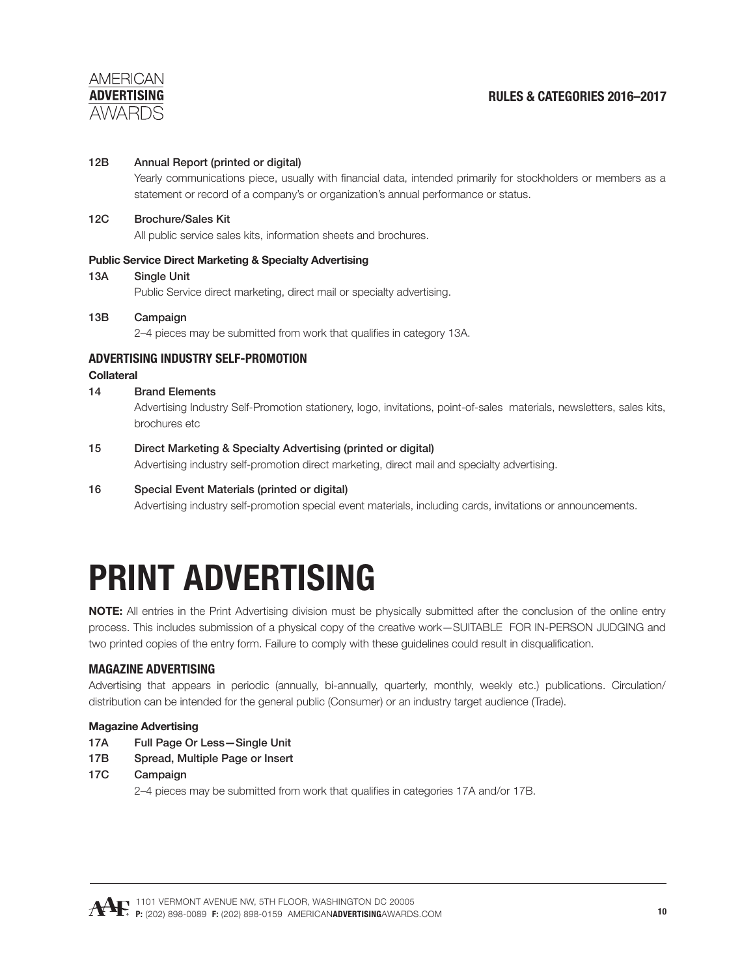

#### 12B Annual Report (printed or digital)

Yearly communications piece, usually with financial data, intended primarily for stockholders or members as a statement or record of a company's or organization's annual performance or status.

#### 12C Brochure/Sales Kit

All public service sales kits, information sheets and brochures.

#### **Public Service Direct Marketing & Specialty Advertising**

13A Single Unit

Public Service direct marketing, direct mail or specialty advertising.

# 13B Campaign

2–4 pieces may be submitted from work that qualifies in category 13A.

### **ADVERTISING INDUSTRY SELF-PROMOTION**

#### **Collateral**

#### 14 Brand Elements

 Advertising Industry Self-Promotion stationery, logo, invitations, point-of-sales materials, newsletters, sales kits, brochures etc

#### 15 Direct Marketing & Specialty Advertising (printed or digital)

Advertising industry self-promotion direct marketing, direct mail and specialty advertising.

#### 16 Special Event Materials (printed or digital)

Advertising industry self-promotion special event materials, including cards, invitations or announcements.

# **PRINT ADVERTISING**

**NOTE:** All entries in the Print Advertising division must be physically submitted after the conclusion of the online entry process. This includes submission of a physical copy of the creative work—SUITABLE FOR IN-PERSON JUDGING and two printed copies of the entry form. Failure to comply with these guidelines could result in disqualification.

#### **MAGAZINE ADVERTISING**

Advertising that appears in periodic (annually, bi-annually, quarterly, monthly, weekly etc.) publications. Circulation/ distribution can be intended for the general public (Consumer) or an industry target audience (Trade).

#### **Magazine Advertising**

- 17A Full Page Or Less—Single Unit
- 17B Spread, Multiple Page or Insert
- 17C Campaign

2–4 pieces may be submitted from work that qualifies in categories 17A and/or 17B.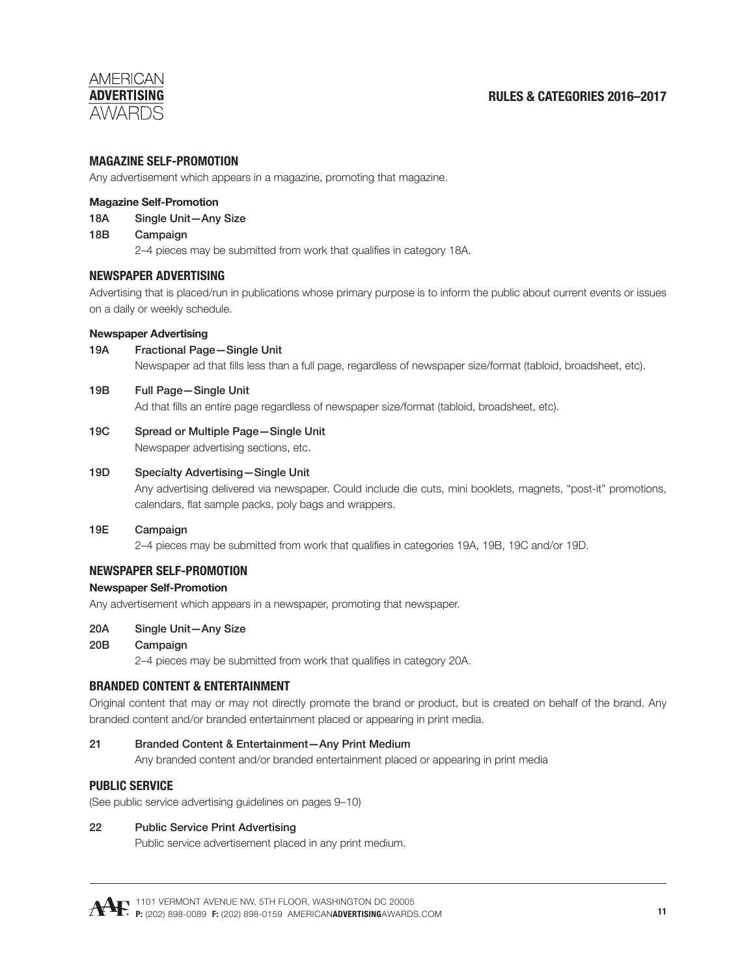# **RULES & CATEGORIES 2016–2017**

### **MAGAZINE SELF-PROMOTION**

Any advertisement which appears in a magazine, promoting that magazine.

#### **Magazine Self-Promotion**

- 18A Single Unit—Any Size
- 18B Campaign

2–4 pieces may be submitted from work that qualifies in category 18A.

### **NEWSPAPER ADVERTISING**

Advertising that is placed/run in publications whose primary purpose is to inform the public about current events or issues on a daily or weekly schedule.

#### **Newspaper Advertising**

19A Fractional Page—Single Unit

Newspaper ad that fills less than a full page, regardless of newspaper size/format (tabloid, broadsheet, etc).

#### 19B Full Page—Single Unit

Ad that fills an entire page regardless of newspaper size/format (tabloid, broadsheet, etc).

#### 19C Spread or Multiple Page—Single Unit

Newspaper advertising sections, etc.

#### 19D Specialty Advertising—Single Unit

 Any advertising delivered via newspaper. Could include die cuts, mini booklets, magnets, "post-it" promotions, calendars, flat sample packs, poly bags and wrappers.

#### 19E Campaign

2–4 pieces may be submitted from work that qualifies in categories 19A, 19B, 19C and/or 19D.

# **NEWSPAPER SELF-PROMOTION**

#### **Newspaper Self-Promotion**

Any advertisement which appears in a newspaper, promoting that newspaper.

#### 20A Single Unit—Any Size

#### 20B Campaign

2–4 pieces may be submitted from work that qualifies in category 20A.

#### **BRANDED CONTENT & ENTERTAINMENT**

Original content that may or may not directly promote the brand or product, but is created on behalf of the brand. Any branded content and/or branded entertainment placed or appearing in print media.

#### 21 Branded Content & Entertainment—Any Print Medium

Any branded content and/or branded entertainment placed or appearing in print media

#### **PUBLIC SERVICE**

(See public service advertising guidelines on pages 9–10)

#### 22 Public Service Print Advertising

Public service advertisement placed in any print medium.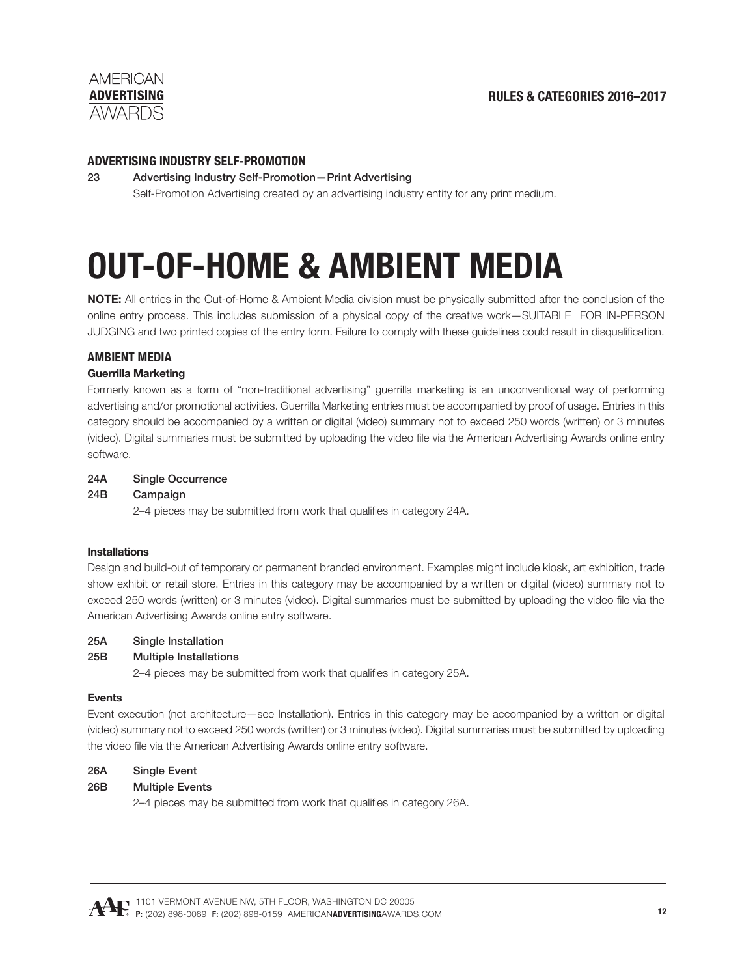

#### **ADVERTISING INDUSTRY SELF-PROMOTION**

23 Advertising Industry Self-Promotion—Print Advertising Self-Promotion Advertising created by an advertising industry entity for any print medium.

# **OUT-OF-HOME & AMBIENT MEDIA**

**NOTE:** All entries in the Out-of-Home & Ambient Media division must be physically submitted after the conclusion of the online entry process. This includes submission of a physical copy of the creative work—SUITABLE FOR IN-PERSON JUDGING and two printed copies of the entry form. Failure to comply with these guidelines could result in disqualification.

# **AMBIENT MEDIA**

### **Guerrilla Marketing**

Formerly known as a form of "non-traditional advertising" guerrilla marketing is an unconventional way of performing advertising and/or promotional activities. Guerrilla Marketing entries must be accompanied by proof of usage. Entries in this category should be accompanied by a written or digital (video) summary not to exceed 250 words (written) or 3 minutes (video). Digital summaries must be submitted by uploading the video file via the American Advertising Awards online entry software.

#### 24A Single Occurrence

#### 24B Campaign

2–4 pieces may be submitted from work that qualifies in category 24A.

#### **Installations**

Design and build-out of temporary or permanent branded environment. Examples might include kiosk, art exhibition, trade show exhibit or retail store. Entries in this category may be accompanied by a written or digital (video) summary not to exceed 250 words (written) or 3 minutes (video). Digital summaries must be submitted by uploading the video file via the American Advertising Awards online entry software.

#### 25A Single Installation

25B Multiple Installations

2–4 pieces may be submitted from work that qualifies in category 25A.

#### **Events**

Event execution (not architecture—see Installation). Entries in this category may be accompanied by a written or digital (video) summary not to exceed 250 words (written) or 3 minutes (video). Digital summaries must be submitted by uploading the video file via the American Advertising Awards online entry software.

#### 26A Single Event

# 26B Multiple Events

2–4 pieces may be submitted from work that qualifies in category 26A.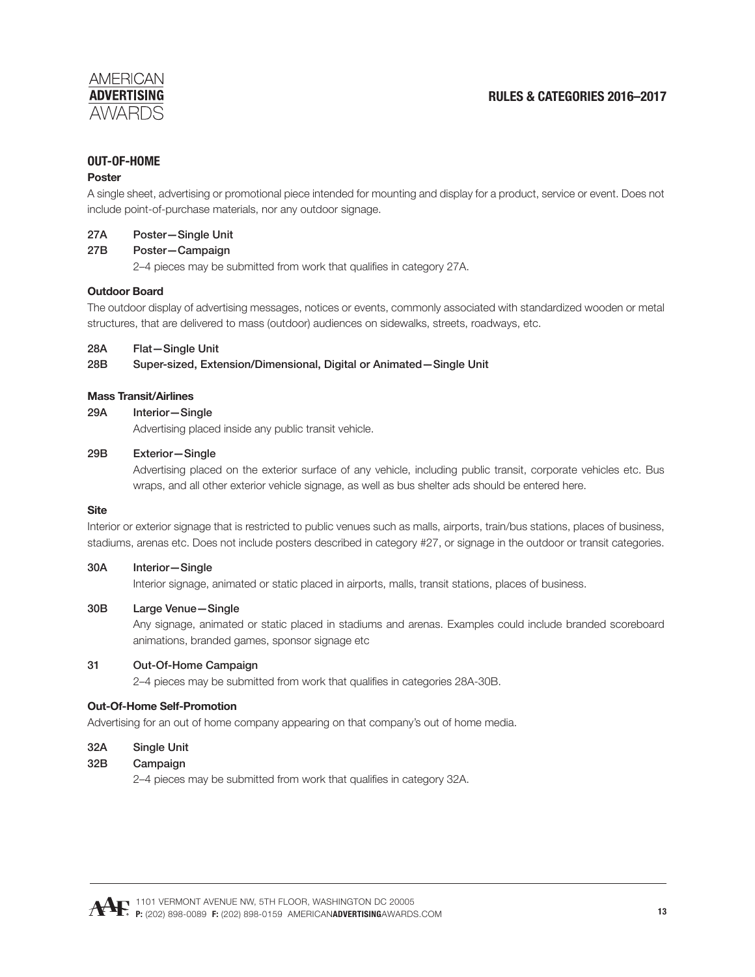# **RULES & CATEGORIES 2016–2017**

# **OUT-OF-HOME**

#### **Poster**

A single sheet, advertising or promotional piece intended for mounting and display for a product, service or event. Does not include point-of-purchase materials, nor any outdoor signage.

#### 27A Poster—Single Unit

#### 27B Poster—Campaign

2–4 pieces may be submitted from work that qualifies in category 27A.

#### **Outdoor Board**

The outdoor display of advertising messages, notices or events, commonly associated with standardized wooden or metal structures, that are delivered to mass (outdoor) audiences on sidewalks, streets, roadways, etc.

#### 28A Flat—Single Unit

28B Super-sized, Extension/Dimensional, Digital or Animated—Single Unit

#### **Mass Transit/Airlines**

#### 29A Interior—Single

Advertising placed inside any public transit vehicle.

#### 29B Exterior—Single

 Advertising placed on the exterior surface of any vehicle, including public transit, corporate vehicles etc. Bus wraps, and all other exterior vehicle signage, as well as bus shelter ads should be entered here.

#### **Site**

Interior or exterior signage that is restricted to public venues such as malls, airports, train/bus stations, places of business, stadiums, arenas etc. Does not include posters described in category #27, or signage in the outdoor or transit categories.

#### 30A Interior—Single

Interior signage, animated or static placed in airports, malls, transit stations, places of business.

#### 30B Large Venue—Single

 Any signage, animated or static placed in stadiums and arenas. Examples could include branded scoreboard animations, branded games, sponsor signage etc

#### 31 Out-Of-Home Campaign

2–4 pieces may be submitted from work that qualifies in categories 28A-30B.

#### **Out-Of-Home Self-Promotion**

Advertising for an out of home company appearing on that company's out of home media.

#### 32A Single Unit

#### 32B Campaign

2–4 pieces may be submitted from work that qualifies in category 32A.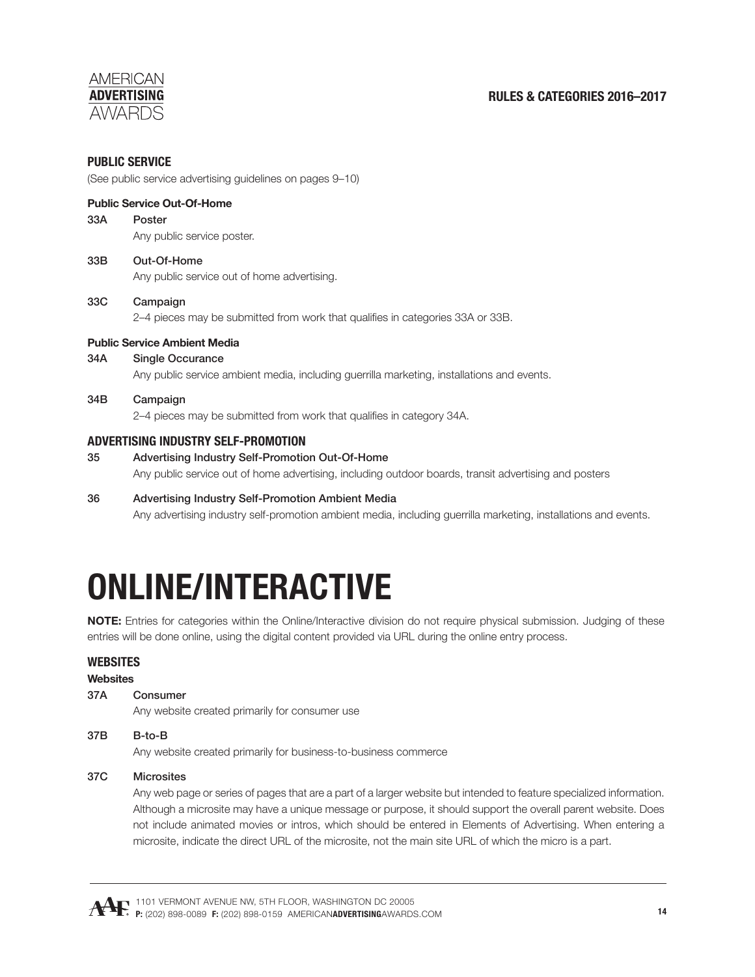# **RULES & CATEGORIES 2016–2017**

### **PUBLIC SERVICE**

(See public service advertising guidelines on pages 9–10)

#### **Public Service Out-Of-Home**

#### 33A Poster

Any public service poster.

# 33B Out-Of-Home Any public service out of home advertising.

# 33C Campaign

2–4 pieces may be submitted from work that qualifies in categories 33A or 33B.

#### **Public Service Ambient Media**

#### 34A Single Occurance

Any public service ambient media, including guerrilla marketing, installations and events.

#### 34B Campaign

2–4 pieces may be submitted from work that qualifies in category 34A.

#### **ADVERTISING INDUSTRY SELF-PROMOTION**

# 35 Advertising Industry Self-Promotion Out-Of-Home Any public service out of home advertising, including outdoor boards, transit advertising and posters

#### 36 Advertising Industry Self-Promotion Ambient Media

Any advertising industry self-promotion ambient media, including guerrilla marketing, installations and events.

# **ONLINE/INTERACTIVE**

**NOTE:** Entries for categories within the Online/Interactive division do not require physical submission. Judging of these entries will be done online, using the digital content provided via URL during the online entry process.

#### **WEBSITES**

#### **Websites**

37A Consumer

Any website created primarily for consumer use

#### 37B B-to-B

Any website created primarily for business-to-business commerce

#### 37C Microsites

 Any web page or series of pages that are a part of a larger website but intended to feature specialized information. Although a microsite may have a unique message or purpose, it should support the overall parent website. Does not include animated movies or intros, which should be entered in Elements of Advertising. When entering a microsite, indicate the direct URL of the microsite, not the main site URL of which the micro is a part.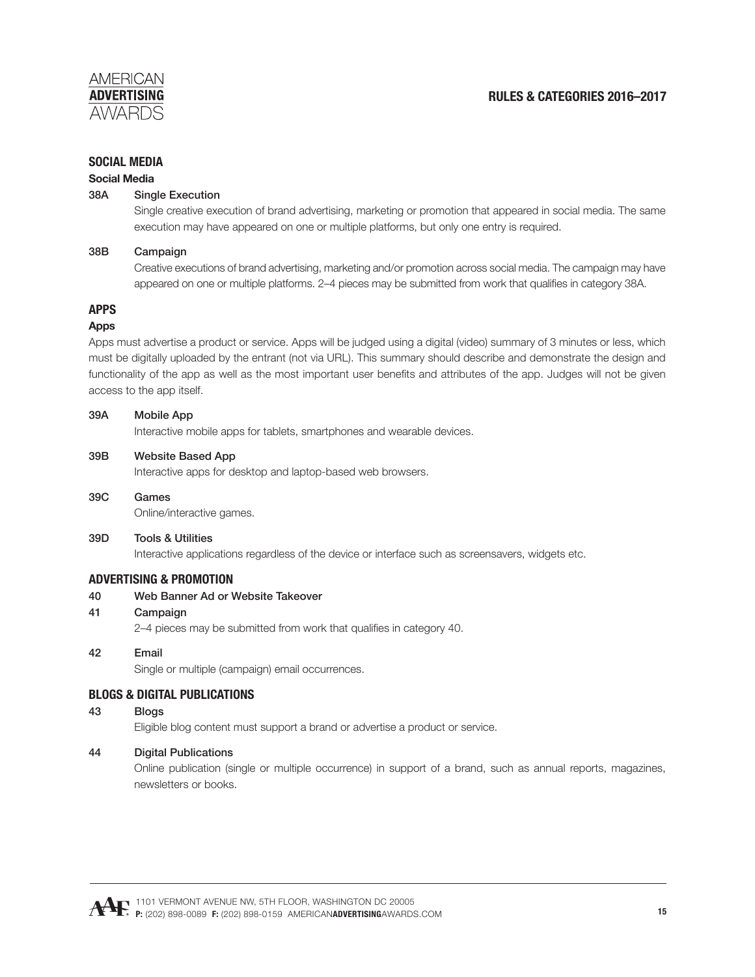# **SOCIAL MEDIA**

#### **Social Media**

#### 38A Single Execution

 Single creative execution of brand advertising, marketing or promotion that appeared in social media. The same execution may have appeared on one or multiple platforms, but only one entry is required.

#### 38B Campaign

 Creative executions of brand advertising, marketing and/or promotion across social media. The campaign may have appeared on one or multiple platforms. 2–4 pieces may be submitted from work that qualifies in category 38A.

# **APPS**

#### **Apps**

Apps must advertise a product or service. Apps will be judged using a digital (video) summary of 3 minutes or less, which must be digitally uploaded by the entrant (not via URL). This summary should describe and demonstrate the design and functionality of the app as well as the most important user benefits and attributes of the app. Judges will not be given access to the app itself.

#### 39A Mobile App

Interactive mobile apps for tablets, smartphones and wearable devices.

#### 39B Website Based App

Interactive apps for desktop and laptop-based web browsers.

39C Games

Online/interactive games.

#### 39D Tools & Utilities

Interactive applications regardless of the device or interface such as screensavers, widgets etc.

# **ADVERTISING & PROMOTION**

40 Web Banner Ad or Website Takeover

#### 41 Campaign

2–4 pieces may be submitted from work that qualifies in category 40.

#### 42 Email

Single or multiple (campaign) email occurrences.

#### **BLOGS & DIGITAL PUBLICATIONS**

#### 43 Blogs

Eligible blog content must support a brand or advertise a product or service.

#### 44 Digital Publications

 Online publication (single or multiple occurrence) in support of a brand, such as annual reports, magazines, newsletters or books.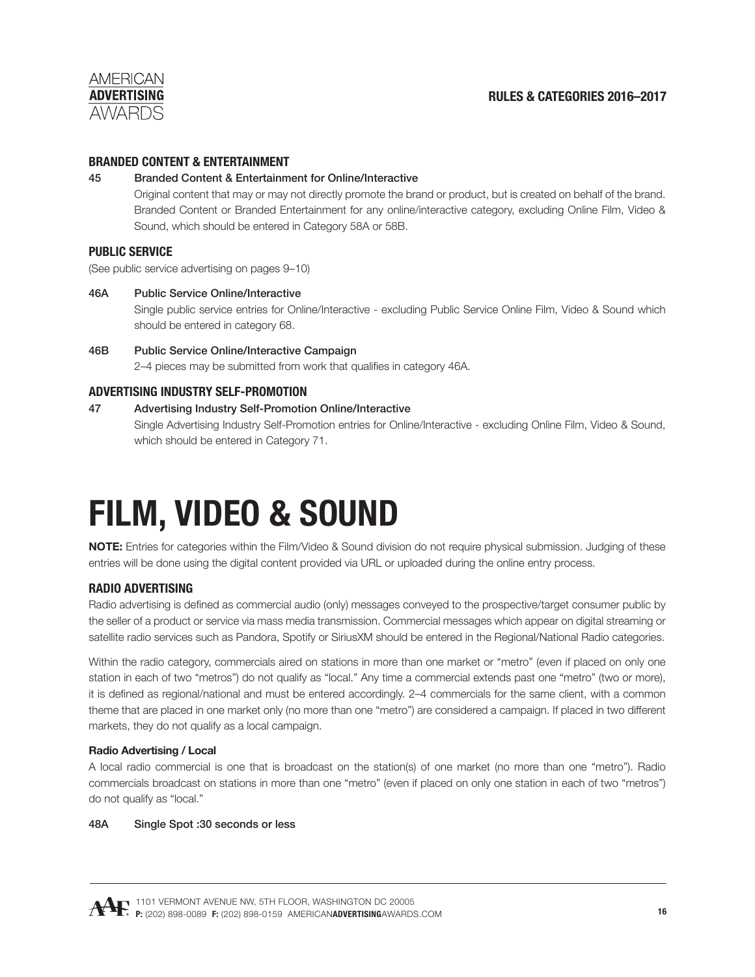

# **BRANDED CONTENT & ENTERTAINMENT**

#### 45 Branded Content & Entertainment for Online/Interactive

 Original content that may or may not directly promote the brand or product, but is created on behalf of the brand. Branded Content or Branded Entertainment for any online/interactive category, excluding Online Film, Video & Sound, which should be entered in Category 58A or 58B.

# **PUBLIC SERVICE**

(See public service advertising on pages 9–10)

#### 46A Public Service Online/Interactive

 Single public service entries for Online/Interactive - excluding Public Service Online Film, Video & Sound which should be entered in category 68.

46B Public Service Online/Interactive Campaign 2–4 pieces may be submitted from work that qualifies in category 46A.

### **ADVERTISING INDUSTRY SELF-PROMOTION**

#### 47 Advertising Industry Self-Promotion Online/Interactive

 Single Advertising Industry Self-Promotion entries for Online/Interactive - excluding Online Film, Video & Sound, which should be entered in Category 71.

# **FILM, VIDEO & SOUND**

**NOTE:** Entries for categories within the Film/Video & Sound division do not require physical submission. Judging of these entries will be done using the digital content provided via URL or uploaded during the online entry process.

#### **RADIO ADVERTISING**

Radio advertising is defined as commercial audio (only) messages conveyed to the prospective/target consumer public by the seller of a product or service via mass media transmission. Commercial messages which appear on digital streaming or satellite radio services such as Pandora, Spotify or SiriusXM should be entered in the Regional/National Radio categories.

Within the radio category, commercials aired on stations in more than one market or "metro" (even if placed on only one station in each of two "metros") do not qualify as "local." Any time a commercial extends past one "metro" (two or more), it is defined as regional/national and must be entered accordingly. 2–4 commercials for the same client, with a common theme that are placed in one market only (no more than one "metro") are considered a campaign. If placed in two different markets, they do not qualify as a local campaign.

#### **Radio Advertising / Local**

A local radio commercial is one that is broadcast on the station(s) of one market (no more than one "metro"). Radio commercials broadcast on stations in more than one "metro" (even if placed on only one station in each of two "metros") do not qualify as "local."

#### 48A Single Spot :30 seconds or less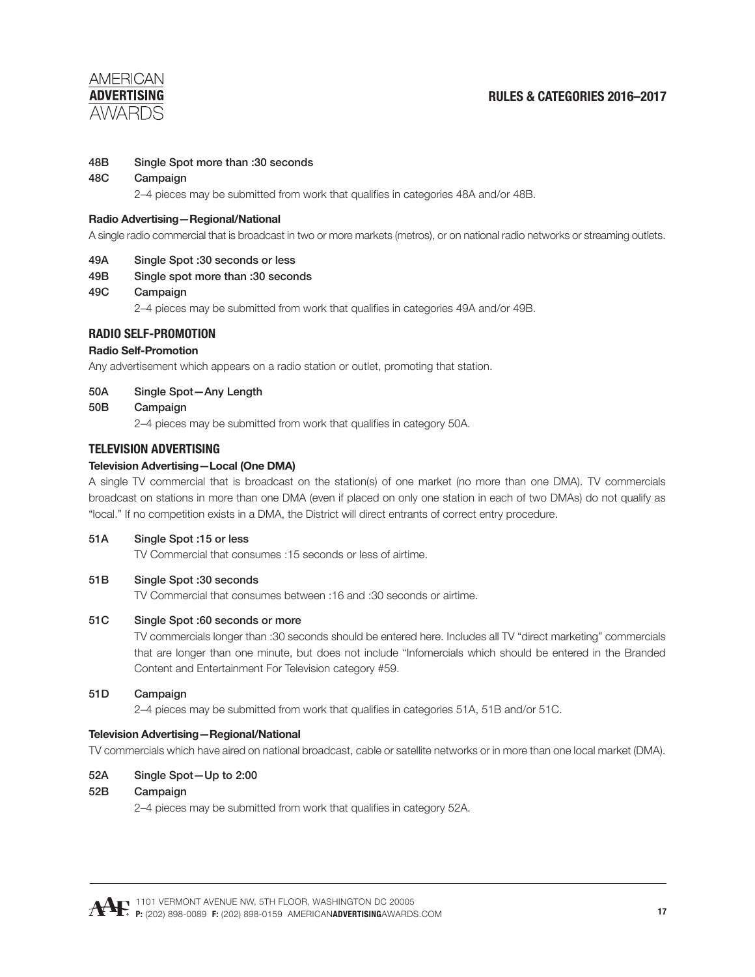

#### 48B Single Spot more than :30 seconds

#### 48C Campaign

2–4 pieces may be submitted from work that qualifies in categories 48A and/or 48B.

#### **Radio Advertising—Regional/National**

A single radio commercial that is broadcast in two or more markets (metros), or on national radio networks or streaming outlets.

#### 49A Single Spot :30 seconds or less

49B Single spot more than :30 seconds

#### 49C Campaign

2–4 pieces may be submitted from work that qualifies in categories 49A and/or 49B.

#### **RADIO SELF-PROMOTION**

#### **Radio Self-Promotion**

Any advertisement which appears on a radio station or outlet, promoting that station.

#### 50A Single Spot—Any Length

#### 50B Campaign

2–4 pieces may be submitted from work that qualifies in category 50A.

#### **TELEVISION ADVERTISING**

#### **Television Advertising—Local (One DMA)**

A single TV commercial that is broadcast on the station(s) of one market (no more than one DMA). TV commercials broadcast on stations in more than one DMA (even if placed on only one station in each of two DMAs) do not qualify as "local." If no competition exists in a DMA, the District will direct entrants of correct entry procedure.

#### 51A Single Spot :15 or less

TV Commercial that consumes :15 seconds or less of airtime.

#### 51B Single Spot :30 seconds

TV Commercial that consumes between :16 and :30 seconds or airtime.

#### 51C Single Spot :60 seconds or more

TV commercials longer than :30 seconds should be entered here. Includes all TV "direct marketing" commercials that are longer than one minute, but does not include "Infomercials which should be entered in the Branded Content and Entertainment For Television category #59.

#### 51D Campaign

2–4 pieces may be submitted from work that qualifies in categories 51A, 51B and/or 51C.

#### **Television Advertising—Regional/National**

TV commercials which have aired on national broadcast, cable or satellite networks or in more than one local market (DMA).

#### 52A Single Spot—Up to 2:00

#### 52B Campaign

2–4 pieces may be submitted from work that qualifies in category 52A.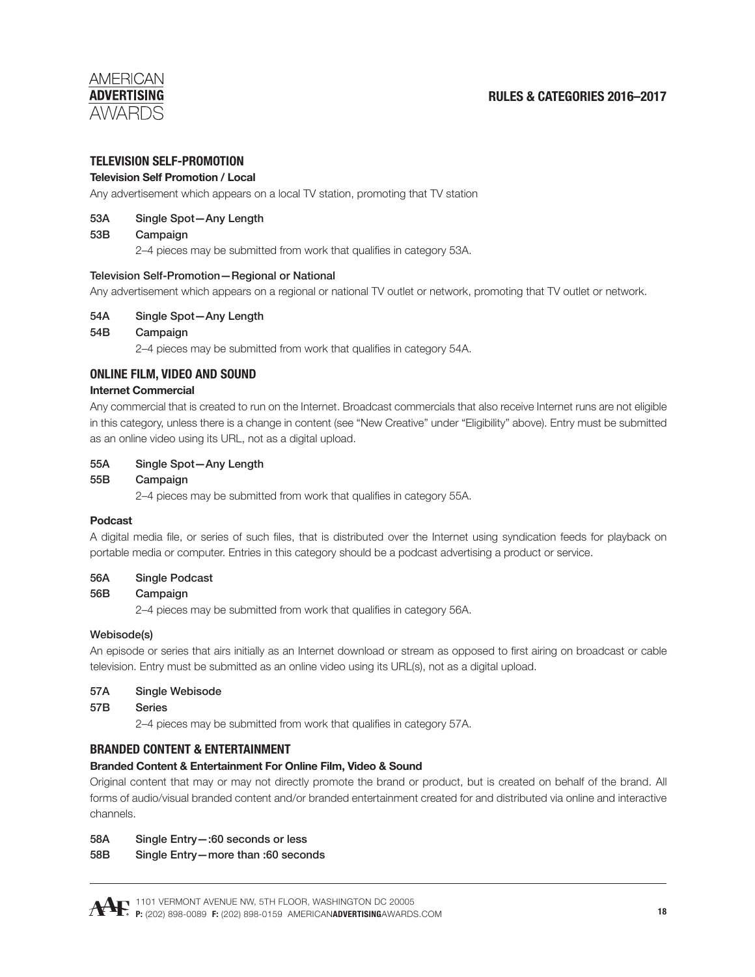# **RULES & CATEGORIES 2016–2017**

### **TELEVISION SELF-PROMOTION**

#### **Television Self Promotion / Local**

Any advertisement which appears on a local TV station, promoting that TV station

#### 53A Single Spot—Any Length

#### 53B Campaign

2–4 pieces may be submitted from work that qualifies in category 53A.

#### Television Self-Promotion—Regional or National

Any advertisement which appears on a regional or national TV outlet or network, promoting that TV outlet or network.

#### 54A Single Spot—Any Length

#### 54B Campaign

2–4 pieces may be submitted from work that qualifies in category 54A.

### **ONLINE FILM, VIDEO AND SOUND**

#### **Internet Commercial**

Any commercial that is created to run on the Internet. Broadcast commercials that also receive Internet runs are not eligible in this category, unless there is a change in content (see "New Creative" under "Eligibility" above). Entry must be submitted as an online video using its URL, not as a digital upload.

#### 55A Single Spot—Any Length

#### 55B Campaign

2–4 pieces may be submitted from work that qualifies in category 55A.

#### **Podcast**

A digital media file, or series of such files, that is distributed over the Internet using syndication feeds for playback on portable media or computer. Entries in this category should be a podcast advertising a product or service.

#### 56A Single Podcast

#### 56B Campaign

2–4 pieces may be submitted from work that qualifies in category 56A.

#### Webisode(s)

An episode or series that airs initially as an Internet download or stream as opposed to first airing on broadcast or cable television. Entry must be submitted as an online video using its URL(s), not as a digital upload.

#### 57A Single Webisode

#### 57B Series

2–4 pieces may be submitted from work that qualifies in category 57A.

#### **BRANDED CONTENT & ENTERTAINMENT**

#### **Branded Content & Entertainment For Online Film, Video & Sound**

Original content that may or may not directly promote the brand or product, but is created on behalf of the brand. All forms of audio/visual branded content and/or branded entertainment created for and distributed via online and interactive channels.

- 58A Single Entry—:60 seconds or less
- 58B Single Entry—more than :60 seconds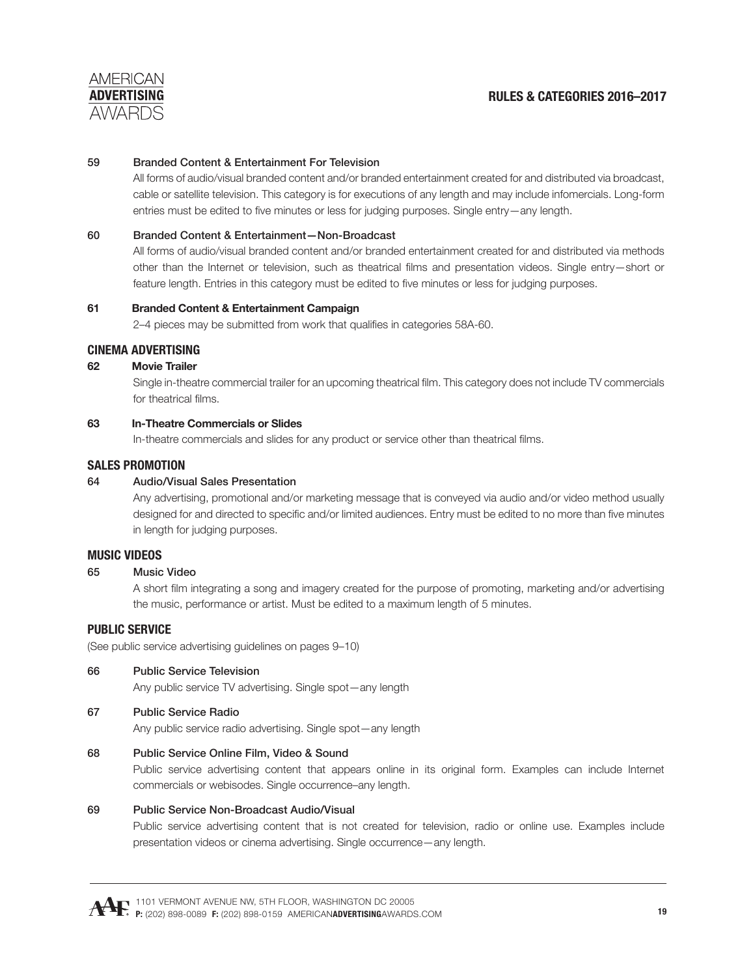

#### 59 Branded Content & Entertainment For Television

 All forms of audio/visual branded content and/or branded entertainment created for and distributed via broadcast, cable or satellite television. This category is for executions of any length and may include infomercials. Long-form entries must be edited to five minutes or less for judging purposes. Single entry—any length.

#### 60 Branded Content & Entertainment—Non-Broadcast

 All forms of audio/visual branded content and/or branded entertainment created for and distributed via methods other than the Internet or television, such as theatrical films and presentation videos. Single entry—short or feature length. Entries in this category must be edited to five minutes or less for judging purposes.

#### **61 Branded Content & Entertainment Campaign**

2–4 pieces may be submitted from work that qualifies in categories 58A-60.

# **CINEMA ADVERTISING**

#### **62 Movie Trailer**

Single in-theatre commercial trailer for an upcoming theatrical film. This category does not include TV commercials for theatrical films.

#### **63 In-Theatre Commercials or Slides**

In-theatre commercials and slides for any product or service other than theatrical films.

#### **SALES PROMOTION**

#### 64 Audio/Visual Sales Presentation

 Any advertising, promotional and/or marketing message that is conveyed via audio and/or video method usually designed for and directed to specific and/or limited audiences. Entry must be edited to no more than five minutes in length for judging purposes.

#### **MUSIC VIDEOS**

### 65 Music Video

A short film integrating a song and imagery created for the purpose of promoting, marketing and/or advertising the music, performance or artist. Must be edited to a maximum length of 5 minutes.

#### **PUBLIC SERVICE**

(See public service advertising guidelines on pages 9–10)

#### 66 Public Service Television

Any public service TV advertising. Single spot—any length

#### 67 Public Service Radio

Any public service radio advertising. Single spot—any length

#### 68 Public Service Online Film, Video & Sound

 Public service advertising content that appears online in its original form. Examples can include Internet commercials or webisodes. Single occurrence–any length.

#### 69 Public Service Non-Broadcast Audio/Visual

 Public service advertising content that is not created for television, radio or online use. Examples include presentation videos or cinema advertising. Single occurrence—any length.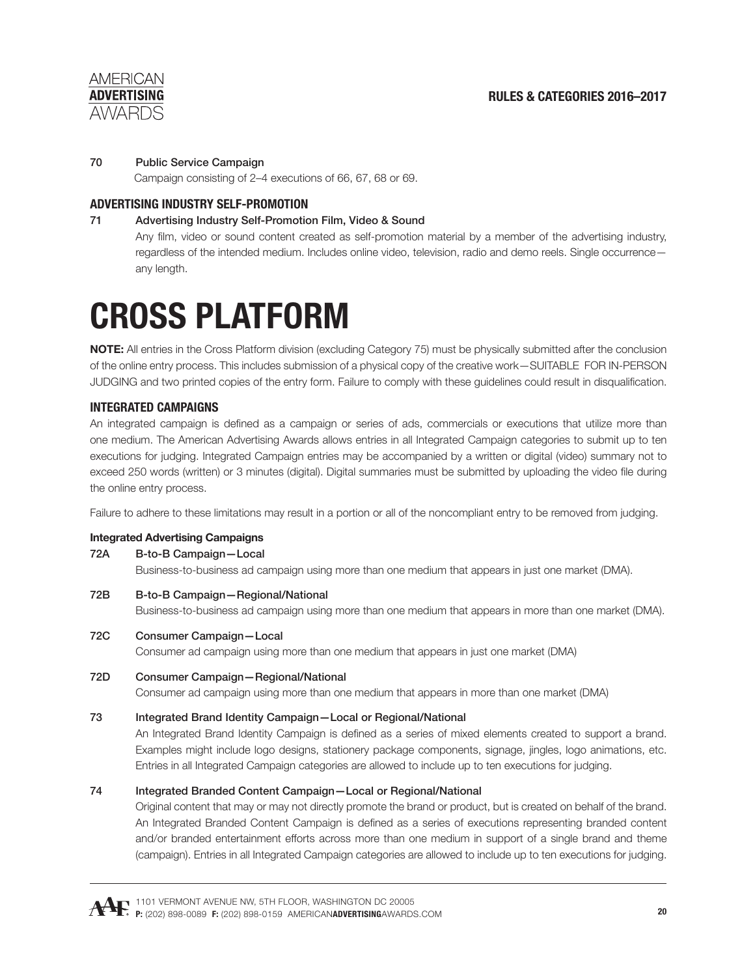# 70 Public Service Campaign

Campaign consisting of 2–4 executions of 66, 67, 68 or 69.

# **ADVERTISING INDUSTRY SELF-PROMOTION**

# 71 Advertising Industry Self-Promotion Film, Video & Sound

Any film, video or sound content created as self-promotion material by a member of the advertising industry, regardless of the intended medium. Includes online video, television, radio and demo reels. Single occurrence any length.

# **CROSS PLATFORM**

**NOTE:** All entries in the Cross Platform division (excluding Category 75) must be physically submitted after the conclusion of the online entry process. This includes submission of a physical copy of the creative work—SUITABLE FOR IN-PERSON JUDGING and two printed copies of the entry form. Failure to comply with these guidelines could result in disqualification.

# **INTEGRATED CAMPAIGNS**

An integrated campaign is defined as a campaign or series of ads, commercials or executions that utilize more than one medium. The American Advertising Awards allows entries in all Integrated Campaign categories to submit up to ten executions for judging. Integrated Campaign entries may be accompanied by a written or digital (video) summary not to exceed 250 words (written) or 3 minutes (digital). Digital summaries must be submitted by uploading the video file during the online entry process.

Failure to adhere to these limitations may result in a portion or all of the noncompliant entry to be removed from judging.

#### **Integrated Advertising Campaigns**

#### 72A B-to-B Campaign—Local

Business-to-business ad campaign using more than one medium that appears in just one market (DMA).

- 72B B-to-B Campaign—Regional/National Business-to-business ad campaign using more than one medium that appears in more than one market (DMA).
- 72C Consumer Campaign—Local Consumer ad campaign using more than one medium that appears in just one market (DMA)
- 72D Consumer Campaign—Regional/National Consumer ad campaign using more than one medium that appears in more than one market (DMA)

# 73 Integrated Brand Identity Campaign—Local or Regional/National

An Integrated Brand Identity Campaign is defined as a series of mixed elements created to support a brand. Examples might include logo designs, stationery package components, signage, jingles, logo animations, etc. Entries in all Integrated Campaign categories are allowed to include up to ten executions for judging.

# 74 Integrated Branded Content Campaign—Local or Regional/National

 Original content that may or may not directly promote the brand or product, but is created on behalf of the brand. An Integrated Branded Content Campaign is defined as a series of executions representing branded content and/or branded entertainment efforts across more than one medium in support of a single brand and theme (campaign). Entries in all Integrated Campaign categories are allowed to include up to ten executions for judging.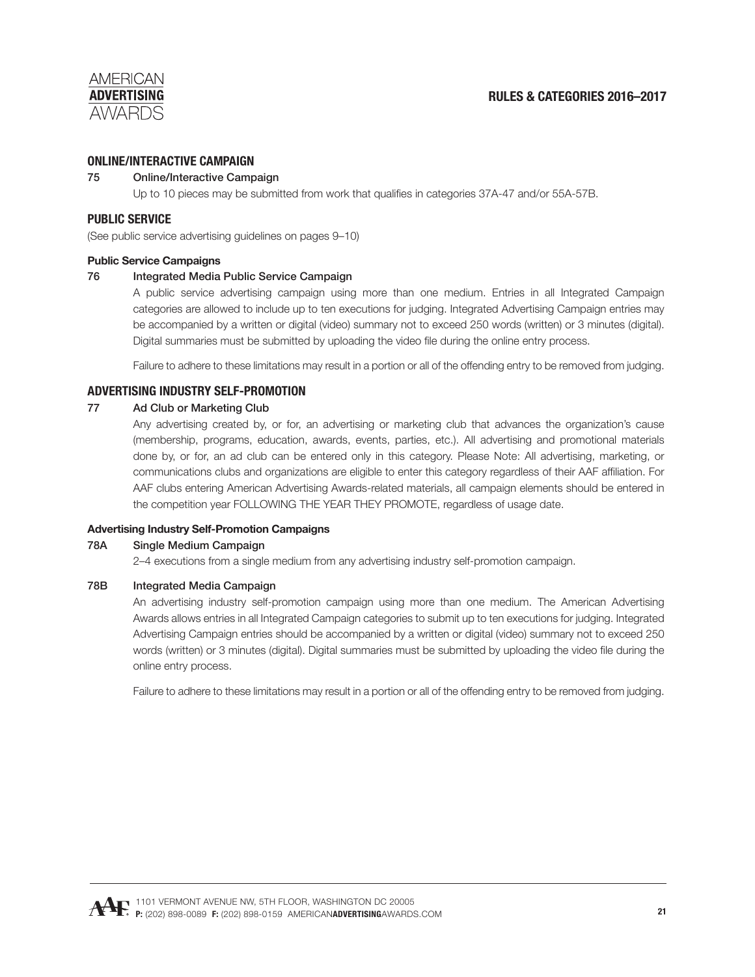# **ONLINE/INTERACTIVE CAMPAIGN**

# 75 Online/Interactive Campaign

Up to 10 pieces may be submitted from work that qualifies in categories 37A-47 and/or 55A-57B.

# **PUBLIC SERVICE**

(See public service advertising guidelines on pages 9–10)

#### **Public Service Campaigns**

### 76 Integrated Media Public Service Campaign

 A public service advertising campaign using more than one medium. Entries in all Integrated Campaign categories are allowed to include up to ten executions for judging. Integrated Advertising Campaign entries may be accompanied by a written or digital (video) summary not to exceed 250 words (written) or 3 minutes (digital). Digital summaries must be submitted by uploading the video file during the online entry process.

Failure to adhere to these limitations may result in a portion or all of the offending entry to be removed from judging.

# **ADVERTISING INDUSTRY SELF-PROMOTION**

### 77 Ad Club or Marketing Club

 Any advertising created by, or for, an advertising or marketing club that advances the organization's cause (membership, programs, education, awards, events, parties, etc.). All advertising and promotional materials done by, or for, an ad club can be entered only in this category. Please Note: All advertising, marketing, or communications clubs and organizations are eligible to enter this category regardless of their AAF affiliation. For AAF clubs entering American Advertising Awards-related materials, all campaign elements should be entered in the competition year FOLLOWING THE YEAR THEY PROMOTE, regardless of usage date.

#### **Advertising Industry Self-Promotion Campaigns**

#### 78A Single Medium Campaign

2–4 executions from a single medium from any advertising industry self-promotion campaign.

#### 78B Integrated Media Campaign

 An advertising industry self-promotion campaign using more than one medium. The American Advertising Awards allows entries in all Integrated Campaign categories to submit up to ten executions for judging. Integrated Advertising Campaign entries should be accompanied by a written or digital (video) summary not to exceed 250 words (written) or 3 minutes (digital). Digital summaries must be submitted by uploading the video file during the online entry process.

Failure to adhere to these limitations may result in a portion or all of the offending entry to be removed from judging.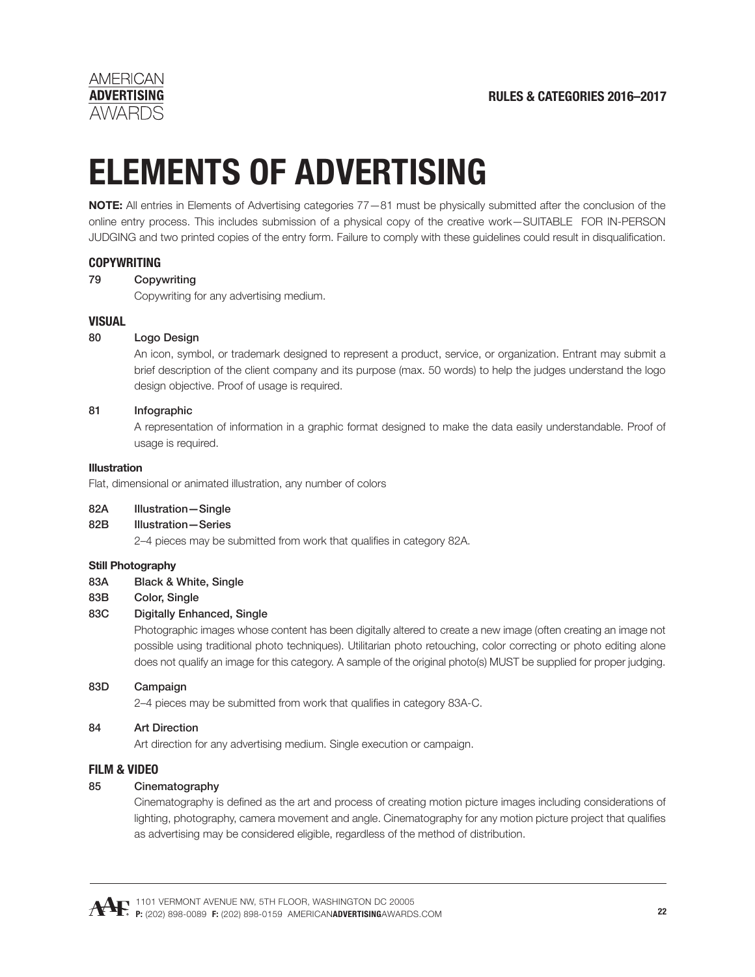

# **ELEMENTS OF ADVERTISING**

**NOTE:** All entries in Elements of Advertising categories 77—81 must be physically submitted after the conclusion of the online entry process. This includes submission of a physical copy of the creative work—SUITABLE FOR IN-PERSON JUDGING and two printed copies of the entry form. Failure to comply with these guidelines could result in disqualification.

### **COPYWRITING**

### 79 Copywriting

Copywriting for any advertising medium.

### **VISUAL**

### 80 Logo Design

 An icon, symbol, or trademark designed to represent a product, service, or organization. Entrant may submit a brief description of the client company and its purpose (max. 50 words) to help the judges understand the logo design objective. Proof of usage is required.

#### 81 Infographic

 A representation of information in a graphic format designed to make the data easily understandable. Proof of usage is required.

#### **Illustration**

Flat, dimensional or animated illustration, any number of colors

#### 82A Illustration—Single

#### 82B Illustration—Series

2–4 pieces may be submitted from work that qualifies in category 82A.

#### **Still Photography**

#### 83A Black & White, Single

83B Color, Single

#### 83C Digitally Enhanced, Single

 Photographic images whose content has been digitally altered to create a new image (often creating an image not possible using traditional photo techniques). Utilitarian photo retouching, color correcting or photo editing alone does not qualify an image for this category. A sample of the original photo(s) MUST be supplied for proper judging.

#### 83D Campaign

2–4 pieces may be submitted from work that qualifies in category 83A-C.

#### 84 Art Direction

Art direction for any advertising medium. Single execution or campaign.

### **FILM & VIDEO**

# 85 Cinematography

Cinematography is defined as the art and process of creating motion picture images including considerations of lighting, photography, camera movement and angle. Cinematography for any motion picture project that qualifies as advertising may be considered eligible, regardless of the method of distribution.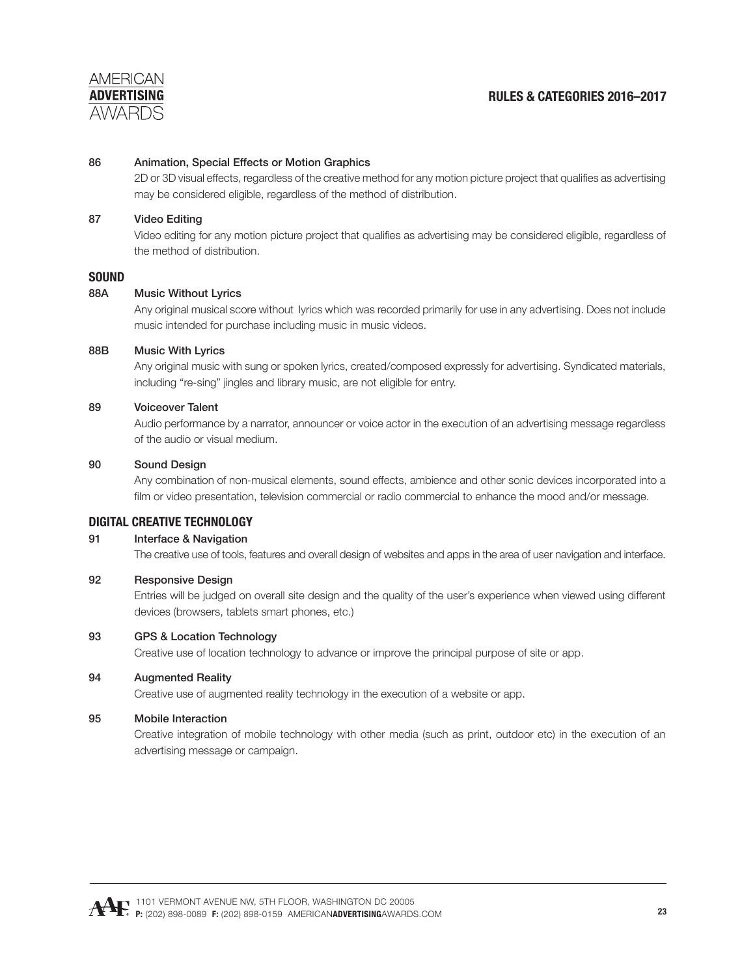

#### 86 Animation, Special Effects or Motion Graphics

2D or 3D visual effects, regardless of the creative method for any motion picture project that qualifies as advertising may be considered eligible, regardless of the method of distribution.

#### 87 Video Editing

Video editing for any motion picture project that qualifies as advertising may be considered eligible, regardless of the method of distribution.

#### **SOUND**

#### 88A Music Without Lyrics

 Any original musical score without lyrics which was recorded primarily for use in any advertising. Does not include music intended for purchase including music in music videos.

#### 88B Music With Lyrics

 Any original music with sung or spoken lyrics, created/composed expressly for advertising. Syndicated materials, including "re-sing" jingles and library music, are not eligible for entry.

#### 89 Voiceover Talent

 Audio performance by a narrator, announcer or voice actor in the execution of an advertising message regardless of the audio or visual medium.

#### 90 Sound Design

Any combination of non-musical elements, sound effects, ambience and other sonic devices incorporated into a film or video presentation, television commercial or radio commercial to enhance the mood and/or message.

#### **DIGITAL CREATIVE TECHNOLOGY**

#### 91 Interface & Navigation

The creative use of tools, features and overall design of websites and apps in the area of user navigation and interface.

#### 92 Responsive Design

Entries will be judged on overall site design and the quality of the user's experience when viewed using different devices (browsers, tablets smart phones, etc.)

#### 93 GPS & Location Technology

Creative use of location technology to advance or improve the principal purpose of site or app.

#### 94 Augmented Reality

Creative use of augmented reality technology in the execution of a website or app.

#### 95 Mobile Interaction

 Creative integration of mobile technology with other media (such as print, outdoor etc) in the execution of an advertising message or campaign.